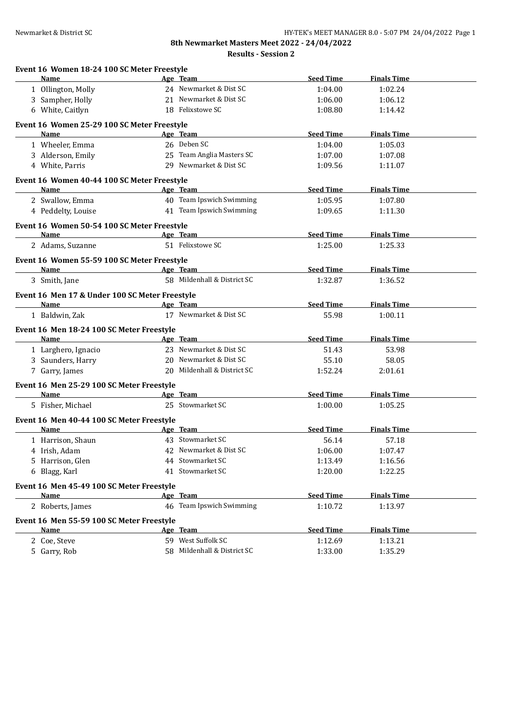**Results - Session 2**

| Event 16 Women 18-24 100 SC Meter Freestyle    |                             | <b>Seed Time</b> | <b>Finals Time</b> |  |
|------------------------------------------------|-----------------------------|------------------|--------------------|--|
| Name                                           | Age Team                    |                  |                    |  |
| 1 Ollington, Molly                             | 24 Newmarket & Dist SC      | 1:04.00          | 1:02.24            |  |
| 3 Sampher, Holly                               | 21 Newmarket & Dist SC      | 1:06.00          | 1:06.12            |  |
| 6 White, Caitlyn                               | 18 Felixstowe SC            | 1:08.80          | 1:14.42            |  |
| Event 16 Women 25-29 100 SC Meter Freestyle    |                             |                  |                    |  |
| <b>Name</b>                                    | Age Team                    | <b>Seed Time</b> | <b>Finals Time</b> |  |
| 1 Wheeler, Emma                                | 26 Deben SC                 | 1:04.00          | 1:05.03            |  |
| 3 Alderson, Emily                              | 25 Team Anglia Masters SC   | 1:07.00          | 1:07.08            |  |
| 4 White, Parris                                | 29 Newmarket & Dist SC      | 1:09.56          | 1:11.07            |  |
| Event 16 Women 40-44 100 SC Meter Freestyle    |                             |                  |                    |  |
| <b>Name</b>                                    | Age Team                    | <b>Seed Time</b> | <b>Finals Time</b> |  |
| 2 Swallow, Emma                                | 40 Team Ipswich Swimming    | 1:05.95          | 1:07.80            |  |
| 4 Peddelty, Louise                             | 41 Team Ipswich Swimming    | 1:09.65          | 1:11.30            |  |
| Event 16 Women 50-54 100 SC Meter Freestyle    |                             |                  |                    |  |
| Name                                           | Age Team                    | <b>Seed Time</b> | <b>Finals Time</b> |  |
| 2 Adams, Suzanne                               | 51 Felixstowe SC            | 1:25.00          | 1:25.33            |  |
| Event 16 Women 55-59 100 SC Meter Freestyle    |                             |                  |                    |  |
| Name                                           | Age Team                    | <b>Seed Time</b> | <b>Finals Time</b> |  |
| 3 Smith, Jane                                  | 58 Mildenhall & District SC | 1:32.87          | 1:36.52            |  |
| Event 16 Men 17 & Under 100 SC Meter Freestyle |                             |                  |                    |  |
| <b>Name</b>                                    | Age Team                    | <b>Seed Time</b> | <b>Finals Time</b> |  |
| 1 Baldwin, Zak                                 | 17 Newmarket & Dist SC      | 55.98            | 1:00.11            |  |
| Event 16 Men 18-24 100 SC Meter Freestyle      |                             |                  |                    |  |
| Name                                           | Age Team                    | <b>Seed Time</b> | <b>Finals Time</b> |  |
| 1 Larghero, Ignacio                            | 23 Newmarket & Dist SC      | 51.43            | 53.98              |  |
| 3 Saunders, Harry                              | 20 Newmarket & Dist SC      | 55.10            | 58.05              |  |
| 7 Garry, James                                 | 20 Mildenhall & District SC | 1:52.24          | 2:01.61            |  |
| Event 16 Men 25-29 100 SC Meter Freestyle      |                             |                  |                    |  |
| <b>Name</b>                                    | Age Team                    | <b>Seed Time</b> | <b>Finals Time</b> |  |
| 5 Fisher, Michael                              | 25 Stowmarket SC            | 1:00.00          | 1:05.25            |  |
| Event 16 Men 40-44 100 SC Meter Freestyle      |                             |                  |                    |  |
| <b>Name</b>                                    | Age Team                    | <b>Seed Time</b> | <b>Finals Time</b> |  |
| 1 Harrison, Shaun                              | 43 Stowmarket SC            | 56.14            | 57.18              |  |
| 4 Irish, Adam                                  | 42 Newmarket & Dist SC      | 1:06.00          | 1:07.47            |  |
| 5 Harrison, Glen                               | 44 Stowmarket SC            | 1:13.49          | 1:16.56            |  |
| 6 Blagg, Karl                                  | 41 Stowmarket SC            | 1:20.00          | 1:22.25            |  |
| Event 16 Men 45-49 100 SC Meter Freestyle      |                             |                  |                    |  |
| Name                                           | Age Team                    | <b>Seed Time</b> | <b>Finals Time</b> |  |
| 2 Roberts, James                               | 46 Team Ipswich Swimming    | 1:10.72          | 1:13.97            |  |
| Event 16 Men 55-59 100 SC Meter Freestyle      |                             |                  |                    |  |
| <b>Name</b>                                    | Age Team                    | <b>Seed Time</b> | <b>Finals Time</b> |  |
| 2 Coe, Steve                                   | 59 West Suffolk SC          | 1:12.69          | 1:13.21            |  |
| 5 Garry, Rob                                   | 58 Mildenhall & District SC | 1:33.00          | 1:35.29            |  |
|                                                |                             |                  |                    |  |